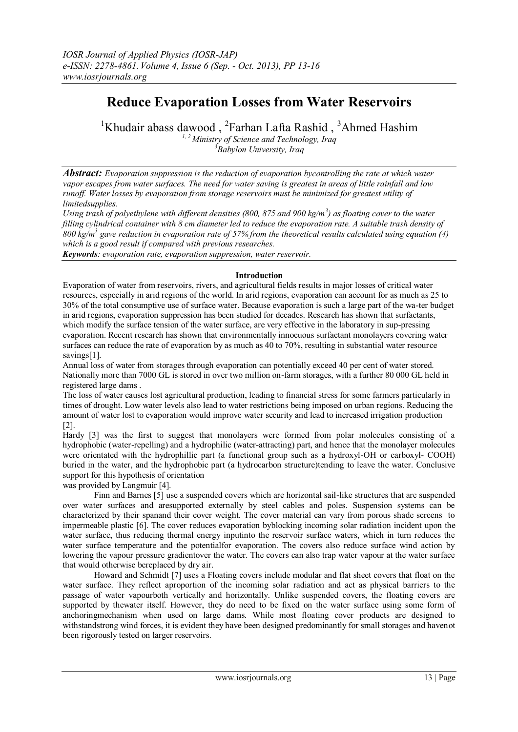# **Reduce Evaporation Losses from Water Reservoirs**

<sup>1</sup>Khudair abass dawood, <sup>2</sup>Farhan Lafta Rashid, <sup>3</sup>Ahmed Hashim *1, 2 Ministry of Science and Technology, Iraq <sup>3</sup>Babylon University, Iraq*

*Abstract: Evaporation suppression is the reduction of evaporation bycontrolling the rate at which water vapor escapes from water surfaces. The need for water saving is greatest in areas of little rainfall and low runoff. Water losses by evaporation from storage reservoirs must be minimized for greatest utility of limitedsupplies.*

*Using trash of polyethylene with different densities (800, 875 and 900 kg/m<sup>3</sup> ) as floating cover to the water filling cylindrical container with 8 cm diameter led to reduce the evaporation rate. A suitable trash density of 800 kg/m<sup>3</sup> gave reduction in evaporation rate of 57% from the theoretical results calculated using equation (4) which is a good result if compared with previous researches.*

*Keywords: evaporation rate, evaporation suppression, water reservoir.*

# **Introduction**

Evaporation of water from reservoirs, rivers, and agricultural fields results in major losses of critical water resources, especially in arid regions of the world. In arid regions, evaporation can account for as much as 25 to 30% of the total consumptive use of surface water. Because evaporation is such a large part of the wa-ter budget in arid regions, evaporation suppression has been studied for decades. Research has shown that surfactants, which modify the surface tension of the water surface, are very effective in the laboratory in sup-pressing evaporation. Recent research has shown that environmentally innocuous surfactant monolayers covering water surfaces can reduce the rate of evaporation by as much as 40 to 70%, resulting in substantial water resource savings[1].

Annual loss of water from storages through evaporation can potentially exceed 40 per cent of water stored. Nationally more than 7000 GL is stored in over two million on-farm storages, with a further 80 000 GL held in registered large dams .

The loss of water causes lost agricultural production, leading to financial stress for some farmers particularly in times of drought. Low water levels also lead to water restrictions being imposed on urban regions. Reducing the amount of water lost to evaporation would improve water security and lead to increased irrigation production [2].

Hardy [3] was the first to suggest that monolayers were formed from polar molecules consisting of a hydrophobic (water-repelling) and a hydrophilic (water-attracting) part, and hence that the monolayer molecules were orientated with the hydrophillic part (a functional group such as a hydroxyl-OH or carboxyl- COOH) buried in the water, and the hydrophobic part (a hydrocarbon structure)tending to leave the water. Conclusive support for this hypothesis of orientation

was provided by Langmuir [4].

 Finn and Barnes [5] use a suspended covers which are horizontal sail-like structures that are suspended over water surfaces and aresupported externally by steel cables and poles. Suspension systems can be characterized by their spanand their cover weight. The cover material can vary from porous shade screens to impermeable plastic [6]. The cover reduces evaporation byblocking incoming solar radiation incident upon the water surface, thus reducing thermal energy inputinto the reservoir surface waters, which in turn reduces the water surface temperature and the potentialfor evaporation. The covers also reduce surface wind action by lowering the vapour pressure gradientover the water. The covers can also trap water vapour at the water surface that would otherwise bereplaced by dry air.

 Howard and Schmidt [7] uses a Floating covers include modular and flat sheet covers that float on the water surface. They reflect aproportion of the incoming solar radiation and act as physical barriers to the passage of water vapourboth vertically and horizontally. Unlike suspended covers, the floating covers are supported by thewater itself. However, they do need to be fixed on the water surface using some form of anchoringmechanism when used on large dams. While most floating cover products are designed to withstandstrong wind forces, it is evident they have been designed predominantly for small storages and havenot been rigorously tested on larger reservoirs.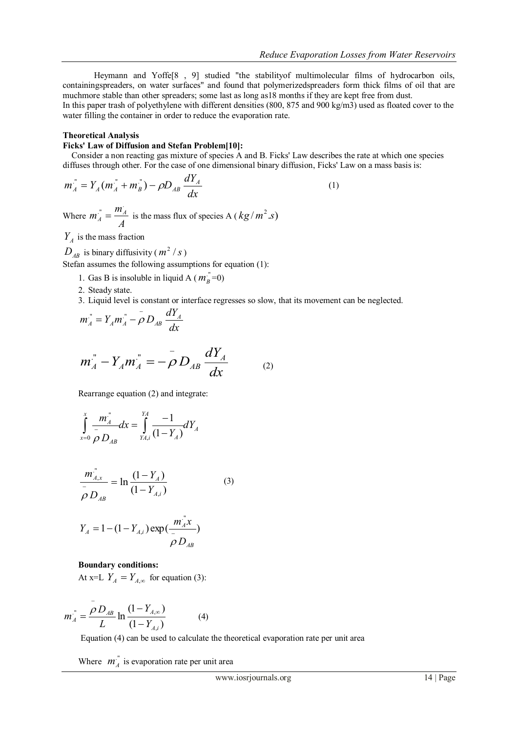Heymann and Yoffe[8 , 9] studied "the stabilityof multimolecular films of hydrocarbon oils, containingspreaders, on water surfaces" and found that polymerizedspreaders form thick films of oil that are muchmore stable than other spreaders; some last as long as18 months if they are kept free from dust. In this paper trash of polyethylene with different densities (800, 875 and 900 kg/m3) used as floated cover to the water filling the container in order to reduce the evaporation rate.

## **Theoretical Analysis**

## **Ficks' Law of Diffusion and Stefan Problem[10]:**

 Consider a non reacting gas mixture of species A and B. Ficks' Law describes the rate at which one species diffuses through other. For the case of one dimensional binary diffusion, Ficks' Law on a mass basis is:

$$
m_A^{\dagger} = Y_A (m_A^{\dagger} + m_B^{\dagger}) - \rho D_{AB} \frac{dY_A}{dx}
$$
 (1)

Where  $m_A = \frac{m_A}{A}$  $m_A^{\dagger} = \frac{m_A^{\dagger}}{4}$  $\sum_{A}^{n} = \frac{m_A}{n}$  is the mass flux of species A ( $kg/m^2$  *s*)

 $Y_A$  is the mass fraction

 $D_{AB}$  is binary diffusivity ( $m^2/s$ )

Stefan assumes the following assumptions for equation (1):

- 1. Gas B is insoluble in liquid A ( $m_B^{\prime\prime} = 0$ )
- 2. Steady state.
- 3. Liquid level is constant or interface regresses so slow, that its movement can be neglected.

$$
m_A^{\prime\prime} = Y_A m_A^{\prime\prime} - \rho D_{AB} \frac{dY_A}{dx}
$$

$$
m_A^{"} - Y_A m_A^{"} = -\rho D_{AB} \frac{dY_A}{dx}
$$
 (2)

Rearrange equation (2) and integrate:

$$
\int_{x=0}^{x} \frac{m_A^{\frac{m}{2}}}{\rho} dx = \int_{YA,i}^{YA} \frac{-1}{(1 - Y_A)} dY_A
$$

$$
\frac{m_{A,x}^{''}}{\rho D_{AB}} = \ln \frac{(1 - Y_A)}{(1 - Y_{A,i})}
$$
(3)

$$
Y_A = 1 - (1 - Y_{A,i}) \exp(\frac{m_A^{\text{''}} x}{\rho D_{AB}})
$$

**Boundary conditions:**

At x=L  $Y_A = Y_{A,\infty}$  for equation (3):

$$
m_A^{"} = \frac{\rho D_{AB}}{L} \ln \frac{(1 - Y_{A,\infty})}{(1 - Y_{A,i})}
$$
(4)

Equation (4) can be used to calculate the theoretical evaporation rate per unit area

Where  $m_A^{\prime\prime}$  is evaporation rate per unit area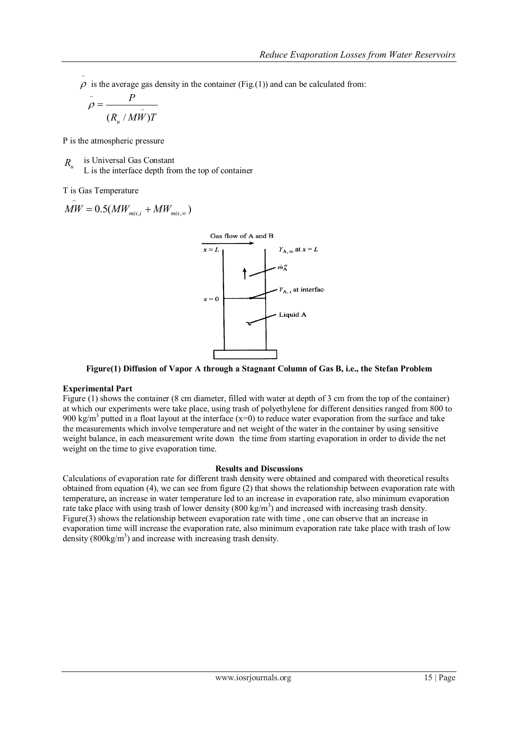- $\rho$  is the average gas density in the container (Fig.(1)) and can be calculated from:

$$
\rho = \frac{P}{(R_u / M\bar{W})T}
$$

P is the atmospheric pressure

is Universal Gas Constant L is the interface depth from the top of container *Ru*

T is Gas Temperature

$$
\overline{\dot{MW}} = 0.5(MW_{mix,i} + MW_{mix,\infty})
$$



**Figure(1) Diffusion of Vapor A through a Stagnant Column of Gas B, i.e., the Stefan Problem**

# **Experimental Part**

Figure (1) shows the container (8 cm diameter, filled with water at depth of 3 cm from the top of the container) at which our experiments were take place, using trash of polyethylene for different densities ranged from 800 to 900 kg/m<sup>3</sup> putted in a float layout at the interface (x=0) to reduce water evaporation from the surface and take the measurements which involve temperature and net weight of the water in the container by using sensitive weight balance, in each measurement write down the time from starting evaporation in order to divide the net weight on the time to give evaporation time.

# **Results and Discussions**

Calculations of evaporation rate for different trash density were obtained and compared with theoretical results obtained from equation (4), we can see from figure (2) that shows the relationship between evaporation rate with temperature**,** an increase in water temperature led to an increase in evaporation rate, also minimum evaporation rate take place with using trash of lower density  $(800 \text{ kg/m}^3)$  and increased with increasing trash density. Figure(3) shows the relationship between evaporation rate with time, one can observe that an increase in evaporation time will increase the evaporation rate, also minimum evaporation rate take place with trash of low density  $(800 \text{kg/m}^3)$  and increase with increasing trash density.